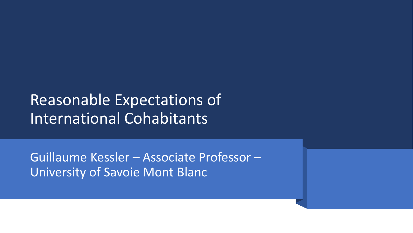## Reasonable Expectations of International Cohabitants

Guillaume Kessler – Associate Professor – University of Savoie Mont Blanc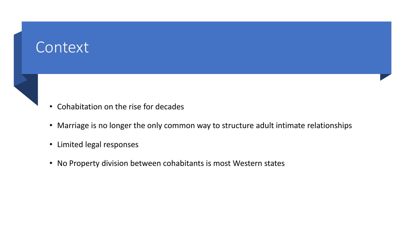#### **Context**

- Cohabitation on the rise for decades
- Marriage is no longer the only common way to structure adult intimate relationships
- Limited legal responses
- No Property division between cohabitants is most Western states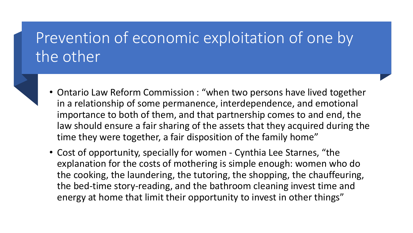## Prevention of economic exploitation of one by the other

- Ontario Law Reform Commission : "when two persons have lived together in a relationship of some permanence, interdependence, and emotional importance to both of them, and that partnership comes to and end, the law should ensure a fair sharing of the assets that they acquired during the time they were together, a fair disposition of the family home"
- Cost of opportunity, specially for women Cynthia Lee Starnes, "the explanation for the costs of mothering is simple enough: women who do the cooking, the laundering, the tutoring, the shopping, the chauffeuring, the bed-time story-reading, and the bathroom cleaning invest time and energy at home that limit their opportunity to invest in other things"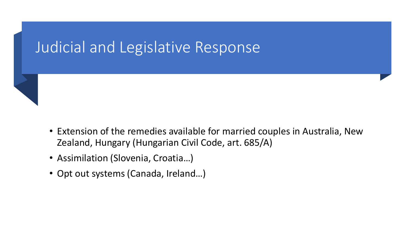#### Judicial and Legislative Response



- Assimilation (Slovenia, Croatia…)
- Opt out systems (Canada, Ireland…)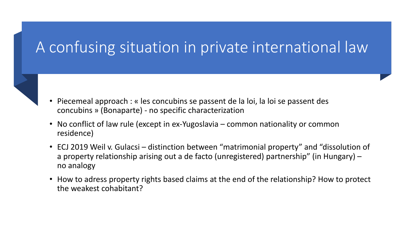### A confusing situation in private international law

- Piecemeal approach : « les concubins se passent de la loi, la loi se passent des concubins » (Bonaparte) - no specific characterization
- No conflict of law rule (except in ex-Yugoslavia common nationality or common residence)
- ECJ 2019 Weil v. Gulacsi distinction between "matrimonial property" and "dissolution of a property relationship arising out a de facto (unregistered) partnership" (in Hungary) – no analogy
- How to adress property rights based claims at the end of the relationship? How to protect the weakest cohabitant?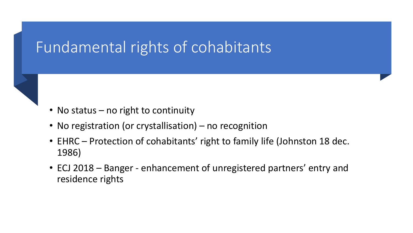### Fundamental rights of cohabitants



- No registration (or crystallisation) no recognition
- EHRC Protection of cohabitants' right to family life (Johnston 18 dec. 1986)
- ECJ 2018 Banger enhancement of unregistered partners' entry and residence rights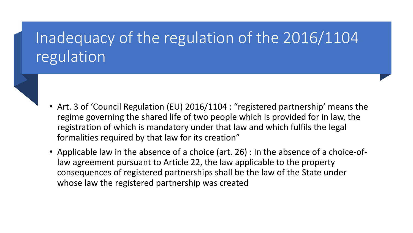# Inadequacy of the regulation of the 2016/1104 regulation

- Art. 3 of 'Council Regulation (EU) 2016/1104 : "registered partnership' means the regime governing the shared life of two people which is provided for in law, the registration of which is mandatory under that law and which fulfils the legal formalities required by that law for its creation"
- Applicable law in the absence of a choice (art. 26) : In the absence of a choice-oflaw agreement pursuant to Article 22, the law applicable to the property consequences of registered partnerships shall be the law of the State under whose law the registered partnership was created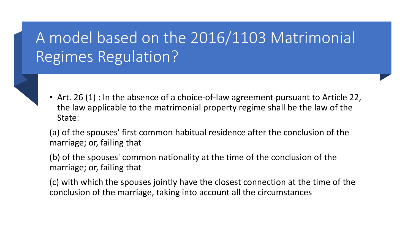# A model based on the 2016/1103 Matrimonial Regimes Regulation?

• Art. 26 (1) : In the absence of a choice-of-law agreement pursuant to Article 22, the law applicable to the matrimonial property regime shall be the law of the State:

(a) of the spouses' first common habitual residence after the conclusion of the marriage; or, failing that

(b) of the spouses' common nationality at the time of the conclusion of the marriage; or, failing that

(c) with which the spouses jointly have the closest connection at the time of the conclusion of the marriage, taking into account all the circumstances